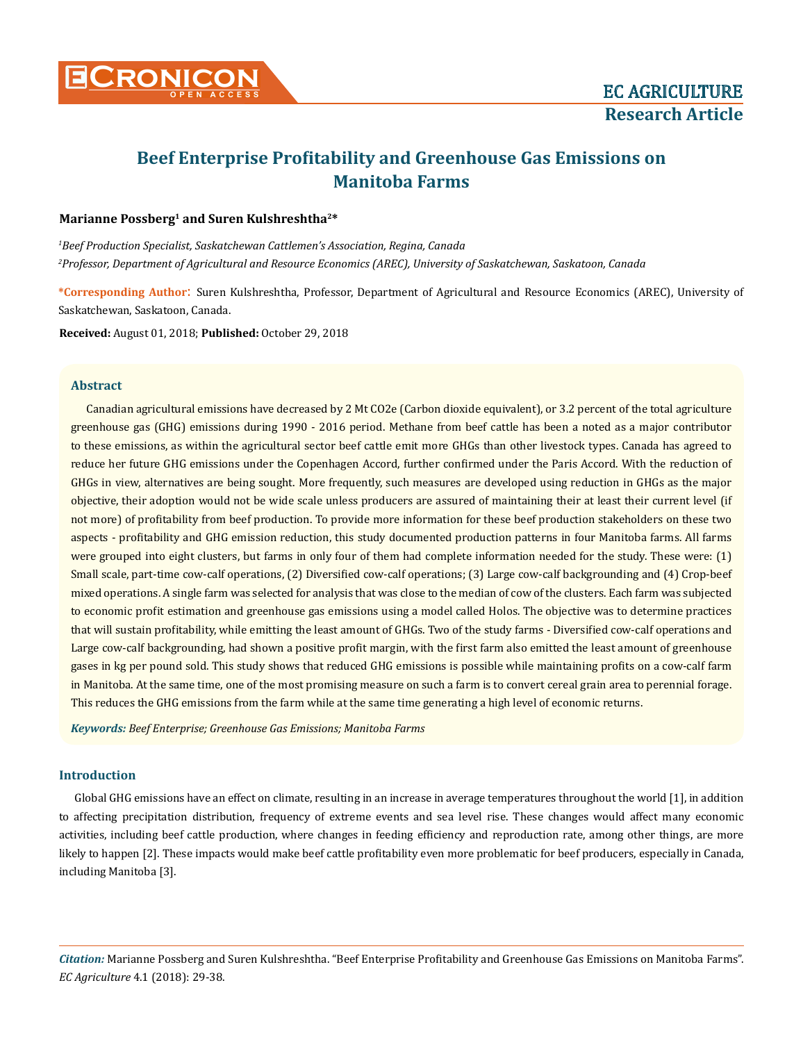

# **Beef Enterprise Profitability and Greenhouse Gas Emissions on Manitoba Farms**

# **Marianne Possberg<sup>1</sup> and Suren Kulshreshtha2\***

*1 Beef Production Specialist, Saskatchewan Cattlemen's Association, Regina, Canada 2 Professor, Department of Agricultural and Resource Economics (AREC), University of Saskatchewan, Saskatoon, Canada*

**\*Corresponding Author**: Suren Kulshreshtha, Professor, Department of Agricultural and Resource Economics (AREC), University of Saskatchewan, Saskatoon, Canada.

**Received:** August 01, 2018; **Published:** October 29, 2018

# **Abstract**

Canadian agricultural emissions have decreased by 2 Mt CO2e (Carbon dioxide equivalent), or 3.2 percent of the total agriculture greenhouse gas (GHG) emissions during 1990 - 2016 period. Methane from beef cattle has been a noted as a major contributor to these emissions, as within the agricultural sector beef cattle emit more GHGs than other livestock types. Canada has agreed to reduce her future GHG emissions under the Copenhagen Accord, further confirmed under the Paris Accord. With the reduction of GHGs in view, alternatives are being sought. More frequently, such measures are developed using reduction in GHGs as the major objective, their adoption would not be wide scale unless producers are assured of maintaining their at least their current level (if not more) of profitability from beef production. To provide more information for these beef production stakeholders on these two aspects - profitability and GHG emission reduction, this study documented production patterns in four Manitoba farms. All farms were grouped into eight clusters, but farms in only four of them had complete information needed for the study. These were: (1) Small scale, part-time cow-calf operations, (2) Diversified cow-calf operations; (3) Large cow-calf backgrounding and (4) Crop-beef mixed operations. A single farm was selected for analysis that was close to the median of cow of the clusters. Each farm was subjected to economic profit estimation and greenhouse gas emissions using a model called Holos. The objective was to determine practices that will sustain profitability, while emitting the least amount of GHGs. Two of the study farms - Diversified cow-calf operations and Large cow-calf backgrounding, had shown a positive profit margin, with the first farm also emitted the least amount of greenhouse gases in kg per pound sold. This study shows that reduced GHG emissions is possible while maintaining profits on a cow-calf farm in Manitoba. At the same time, one of the most promising measure on such a farm is to convert cereal grain area to perennial forage. This reduces the GHG emissions from the farm while at the same time generating a high level of economic returns.

*Keywords: Beef Enterprise; Greenhouse Gas Emissions; Manitoba Farms*

# **Introduction**

Global GHG emissions have an effect on climate, resulting in an increase in average temperatures throughout the world [1], in addition to affecting precipitation distribution, frequency of extreme events and sea level rise. These changes would affect many economic activities, including beef cattle production, where changes in feeding efficiency and reproduction rate, among other things, are more likely to happen [2]. These impacts would make beef cattle profitability even more problematic for beef producers, especially in Canada, including Manitoba [3].

*Citation:* Marianne Possberg and Suren Kulshreshtha. "Beef Enterprise Profitability and Greenhouse Gas Emissions on Manitoba Farms". *EC Agriculture* 4.1 (2018): 29-38.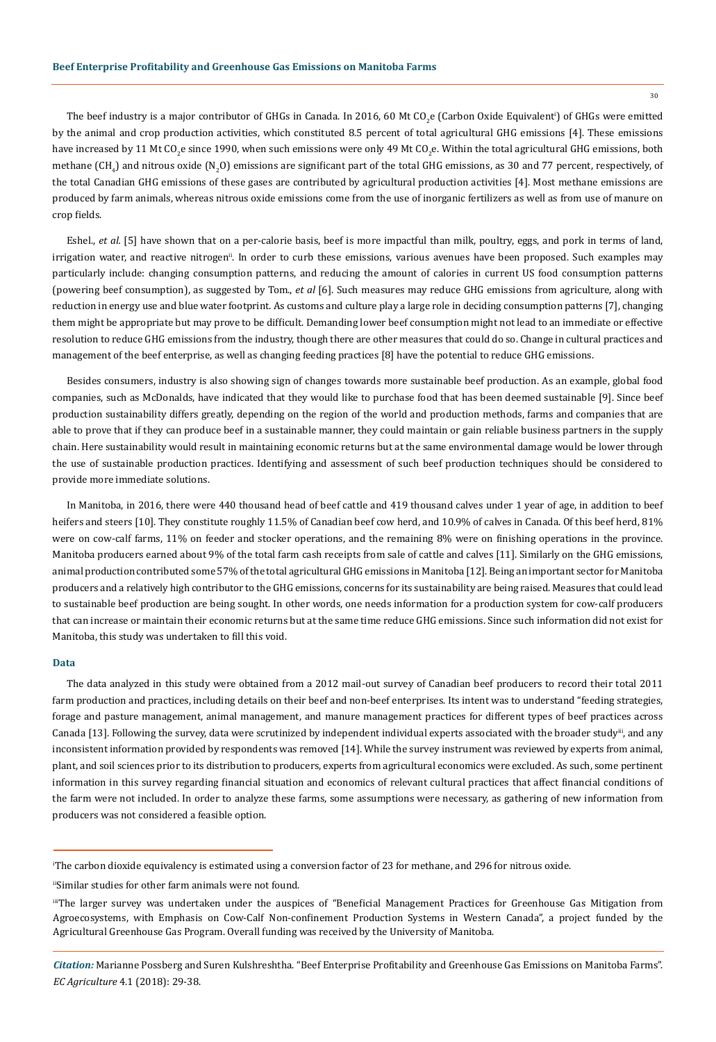30

The beef industry is a major contributor of GHGs in Canada. In 2016, 60 Mt CO<sub>2</sub>e (Carbon Oxide Equivalent') of GHGs were emitted by the animal and crop production activities, which constituted 8.5 percent of total agricultural GHG emissions [4]. These emissions have increased by 11 Mt CO<sub>2</sub>e since 1990, when such emissions were only 49 Mt CO<sub>2</sub>e. Within the total agricultural GHG emissions, both methane (CH<sub>4</sub>) and nitrous oxide (N<sub>2</sub>O) emissions are significant part of the total GHG emissions, as 30 and 77 percent, respectively, of the total Canadian GHG emissions of these gases are contributed by agricultural production activities [4]. Most methane emissions are produced by farm animals, whereas nitrous oxide emissions come from the use of inorganic fertilizers as well as from use of manure on crop fields.

Eshel., *et al.* [5] have shown that on a per-calorie basis, beef is more impactful than milk, poultry, eggs, and pork in terms of land, irrigation water, and reactive nitrogen<sup>ii</sup>. In order to curb these emissions, various avenues have been proposed. Such examples may particularly include: changing consumption patterns, and reducing the amount of calories in current US food consumption patterns (powering beef consumption), as suggested by Tom., *et al* [6]. Such measures may reduce GHG emissions from agriculture, along with reduction in energy use and blue water footprint. As customs and culture play a large role in deciding consumption patterns [7], changing them might be appropriate but may prove to be difficult. Demanding lower beef consumption might not lead to an immediate or effective resolution to reduce GHG emissions from the industry, though there are other measures that could do so. Change in cultural practices and management of the beef enterprise, as well as changing feeding practices [8] have the potential to reduce GHG emissions.

Besides consumers, industry is also showing sign of changes towards more sustainable beef production. As an example, global food companies, such as McDonalds, have indicated that they would like to purchase food that has been deemed sustainable [9]. Since beef production sustainability differs greatly, depending on the region of the world and production methods, farms and companies that are able to prove that if they can produce beef in a sustainable manner, they could maintain or gain reliable business partners in the supply chain. Here sustainability would result in maintaining economic returns but at the same environmental damage would be lower through the use of sustainable production practices. Identifying and assessment of such beef production techniques should be considered to provide more immediate solutions.

In Manitoba, in 2016, there were 440 thousand head of beef cattle and 419 thousand calves under 1 year of age, in addition to beef heifers and steers [10]. They constitute roughly 11.5% of Canadian beef cow herd, and 10.9% of calves in Canada. Of this beef herd, 81% were on cow-calf farms, 11% on feeder and stocker operations, and the remaining 8% were on finishing operations in the province. Manitoba producers earned about 9% of the total farm cash receipts from sale of cattle and calves [11]. Similarly on the GHG emissions, animal production contributed some 57% of the total agricultural GHG emissions in Manitoba [12]. Being an important sector for Manitoba producers and a relatively high contributor to the GHG emissions, concerns for its sustainability are being raised. Measures that could lead to sustainable beef production are being sought. In other words, one needs information for a production system for cow-calf producers that can increase or maintain their economic returns but at the same time reduce GHG emissions. Since such information did not exist for Manitoba, this study was undertaken to fill this void.

#### **Data**

The data analyzed in this study were obtained from a 2012 mail-out survey of Canadian beef producers to record their total 2011 farm production and practices, including details on their beef and non-beef enterprises. Its intent was to understand "feeding strategies, forage and pasture management, animal management, and manure management practices for different types of beef practices across Canada [13]. Following the survey, data were scrutinized by independent individual experts associated with the broader study<sup>iii</sup>, and any inconsistent information provided by respondents was removed [14]. While the survey instrument was reviewed by experts from animal, plant, and soil sciences prior to its distribution to producers, experts from agricultural economics were excluded. As such, some pertinent information in this survey regarding financial situation and economics of relevant cultural practices that affect financial conditions of the farm were not included. In order to analyze these farms, some assumptions were necessary, as gathering of new information from producers was not considered a feasible option.

i The carbon dioxide equivalency is estimated using a conversion factor of 23 for methane, and 296 for nitrous oxide.

iiSimilar studies for other farm animals were not found.

iiiThe larger survey was undertaken under the auspices of "Beneficial Management Practices for Greenhouse Gas Mitigation from Agroecosystems, with Emphasis on Cow-Calf Non-confinement Production Systems in Western Canada", a project funded by the Agricultural Greenhouse Gas Program. Overall funding was received by the University of Manitoba.

*Citation:* Marianne Possberg and Suren Kulshreshtha. "Beef Enterprise Profitability and Greenhouse Gas Emissions on Manitoba Farms". *EC Agriculture* 4.1 (2018): 29-38.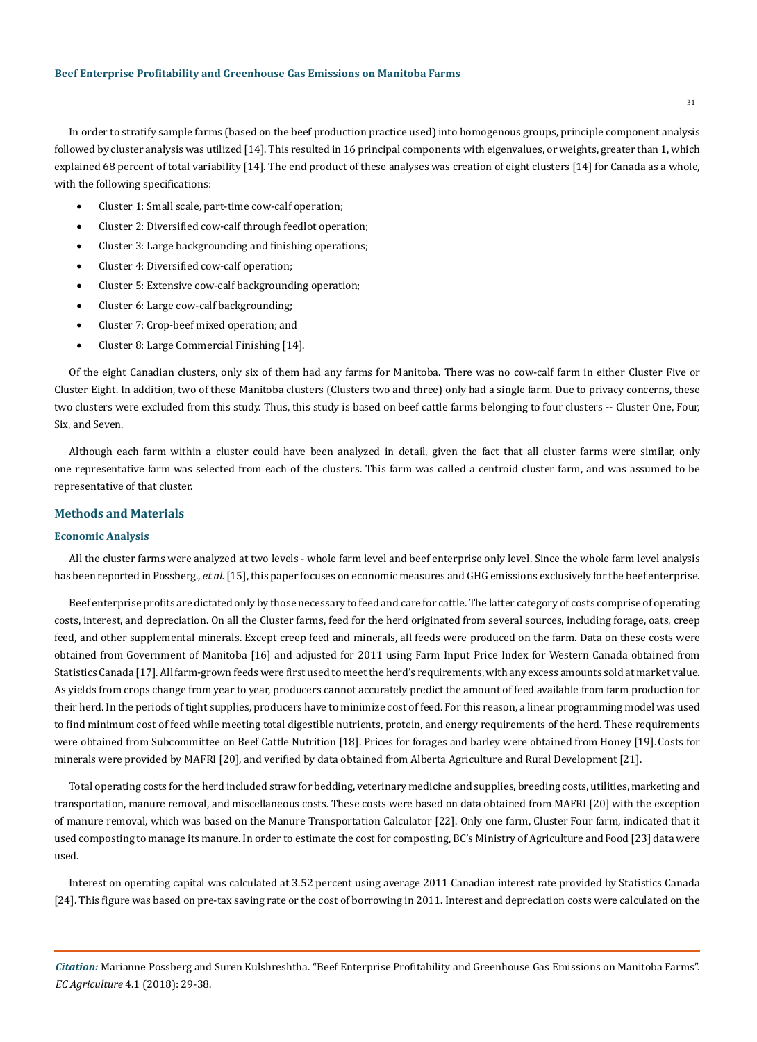In order to stratify sample farms (based on the beef production practice used) into homogenous groups, principle component analysis followed by cluster analysis was utilized [14]. This resulted in 16 principal components with eigenvalues, or weights, greater than 1, which explained 68 percent of total variability [14]. The end product of these analyses was creation of eight clusters [14] for Canada as a whole, with the following specifications:

- Cluster 1: Small scale, part-time cow-calf operation;
- Cluster 2: Diversified cow-calf through feedlot operation;
- Cluster 3: Large backgrounding and finishing operations;
- Cluster 4: Diversified cow-calf operation:
- Cluster 5: Extensive cow-calf backgrounding operation;
- Cluster 6: Large cow-calf backgrounding;
- Cluster 7: Crop-beef mixed operation; and
- Cluster 8: Large Commercial Finishing [14].

Of the eight Canadian clusters, only six of them had any farms for Manitoba. There was no cow-calf farm in either Cluster Five or Cluster Eight. In addition, two of these Manitoba clusters (Clusters two and three) only had a single farm. Due to privacy concerns, these two clusters were excluded from this study. Thus, this study is based on beef cattle farms belonging to four clusters -- Cluster One, Four, Six, and Seven.

Although each farm within a cluster could have been analyzed in detail, given the fact that all cluster farms were similar, only one representative farm was selected from each of the clusters. This farm was called a centroid cluster farm, and was assumed to be representative of that cluster.

## **Methods and Materials**

# **Economic Analysis**

All the cluster farms were analyzed at two levels - whole farm level and beef enterprise only level. Since the whole farm level analysis has been reported in Possberg., *et al.* [15], this paper focuses on economic measures and GHG emissions exclusively for the beef enterprise.

Beef enterprise profits are dictated only by those necessary to feed and care for cattle. The latter category of costs comprise of operating costs, interest, and depreciation. On all the Cluster farms, feed for the herd originated from several sources, including forage, oats, creep feed, and other supplemental minerals. Except creep feed and minerals, all feeds were produced on the farm. Data on these costs were obtained from Government of Manitoba [16] and adjusted for 2011 using Farm Input Price Index for Western Canada obtained from Statistics Canada [17]. All farm-grown feeds were first used to meet the herd's requirements, with any excess amounts sold at market value. As yields from crops change from year to year, producers cannot accurately predict the amount of feed available from farm production for their herd. In the periods of tight supplies, producers have to minimize cost of feed. For this reason, a linear programming model was used to find minimum cost of feed while meeting total digestible nutrients, protein, and energy requirements of the herd. These requirements were obtained from Subcommittee on Beef Cattle Nutrition [18]. Prices for forages and barley were obtained from Honey [19]. Costs for minerals were provided by MAFRI [20], and verified by data obtained from Alberta Agriculture and Rural Development [21].

Total operating costs for the herd included straw for bedding, veterinary medicine and supplies, breeding costs, utilities, marketing and transportation, manure removal, and miscellaneous costs. These costs were based on data obtained from MAFRI [20] with the exception of manure removal, which was based on the Manure Transportation Calculator [22]. Only one farm, Cluster Four farm, indicated that it used composting to manage its manure. In order to estimate the cost for composting, BC's Ministry of Agriculture and Food [23] data were used.

Interest on operating capital was calculated at 3.52 percent using average 2011 Canadian interest rate provided by Statistics Canada [24]. This figure was based on pre-tax saving rate or the cost of borrowing in 2011. Interest and depreciation costs were calculated on the

*Citation:* Marianne Possberg and Suren Kulshreshtha. "Beef Enterprise Profitability and Greenhouse Gas Emissions on Manitoba Farms". *EC Agriculture* 4.1 (2018): 29-38.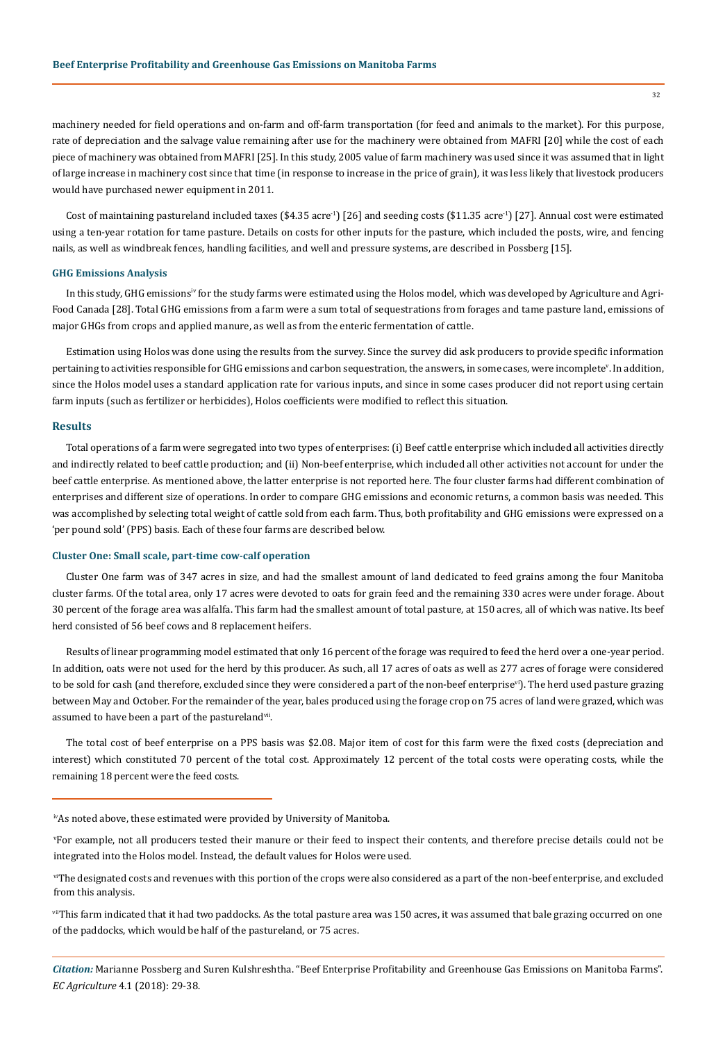machinery needed for field operations and on-farm and off-farm transportation (for feed and animals to the market). For this purpose, rate of depreciation and the salvage value remaining after use for the machinery were obtained from MAFRI [20] while the cost of each piece of machinery was obtained from MAFRI [25]. In this study, 2005 value of farm machinery was used since it was assumed that in light of large increase in machinery cost since that time (in response to increase in the price of grain), it was less likely that livestock producers would have purchased newer equipment in 2011.

Cost of maintaining pastureland included taxes (\$4.35 acre<sup>-1</sup>) [26] and seeding costs (\$11.35 acre<sup>-1</sup>) [27]. Annual cost were estimated using a ten-year rotation for tame pasture. Details on costs for other inputs for the pasture, which included the posts, wire, and fencing nails, as well as windbreak fences, handling facilities, and well and pressure systems, are described in Possberg [15].

### **GHG Emissions Analysis**

In this study, GHG emissions<sup>iv</sup> for the study farms were estimated using the Holos model, which was developed by Agriculture and Agri-Food Canada [28]. Total GHG emissions from a farm were a sum total of sequestrations from forages and tame pasture land, emissions of major GHGs from crops and applied manure, as well as from the enteric fermentation of cattle.

Estimation using Holos was done using the results from the survey. Since the survey did ask producers to provide specific information pertaining to activities responsible for GHG emissions and carbon sequestration, the answers, in some cases, were incomplete<sup>v</sup>. In addition, since the Holos model uses a standard application rate for various inputs, and since in some cases producer did not report using certain farm inputs (such as fertilizer or herbicides), Holos coefficients were modified to reflect this situation.

## **Results**

Total operations of a farm were segregated into two types of enterprises: (i) Beef cattle enterprise which included all activities directly and indirectly related to beef cattle production; and (ii) Non-beef enterprise, which included all other activities not account for under the beef cattle enterprise. As mentioned above, the latter enterprise is not reported here. The four cluster farms had different combination of enterprises and different size of operations. In order to compare GHG emissions and economic returns, a common basis was needed. This was accomplished by selecting total weight of cattle sold from each farm. Thus, both profitability and GHG emissions were expressed on a 'per pound sold' (PPS) basis. Each of these four farms are described below.

## **Cluster One: Small scale, part-time cow-calf operation**

Cluster One farm was of 347 acres in size, and had the smallest amount of land dedicated to feed grains among the four Manitoba cluster farms. Of the total area, only 17 acres were devoted to oats for grain feed and the remaining 330 acres were under forage. About 30 percent of the forage area was alfalfa. This farm had the smallest amount of total pasture, at 150 acres, all of which was native. Its beef herd consisted of 56 beef cows and 8 replacement heifers.

Results of linear programming model estimated that only 16 percent of the forage was required to feed the herd over a one-year period. In addition, oats were not used for the herd by this producer. As such, all 17 acres of oats as well as 277 acres of forage were considered to be sold for cash (and therefore, excluded since they were considered a part of the non-beef enterprise<sup>vi</sup>). The herd used pasture grazing between May and October. For the remainder of the year, bales produced using the forage crop on 75 acres of land were grazed, which was assumed to have been a part of the pasturelandvii.

The total cost of beef enterprise on a PPS basis was \$2.08. Major item of cost for this farm were the fixed costs (depreciation and interest) which constituted 70 percent of the total cost. Approximately 12 percent of the total costs were operating costs, while the remaining 18 percent were the feed costs.

v For example, not all producers tested their manure or their feed to inspect their contents, and therefore precise details could not be integrated into the Holos model. Instead, the default values for Holos were used.

viThe designated costs and revenues with this portion of the crops were also considered as a part of the non-beef enterprise, and excluded from this analysis.

viThis farm indicated that it had two paddocks. As the total pasture area was 150 acres, it was assumed that bale grazing occurred on one of the paddocks, which would be half of the pastureland, or 75 acres.

*Citation:* Marianne Possberg and Suren Kulshreshtha. "Beef Enterprise Profitability and Greenhouse Gas Emissions on Manitoba Farms". *EC Agriculture* 4.1 (2018): 29-38.

ivAs noted above, these estimated were provided by University of Manitoba.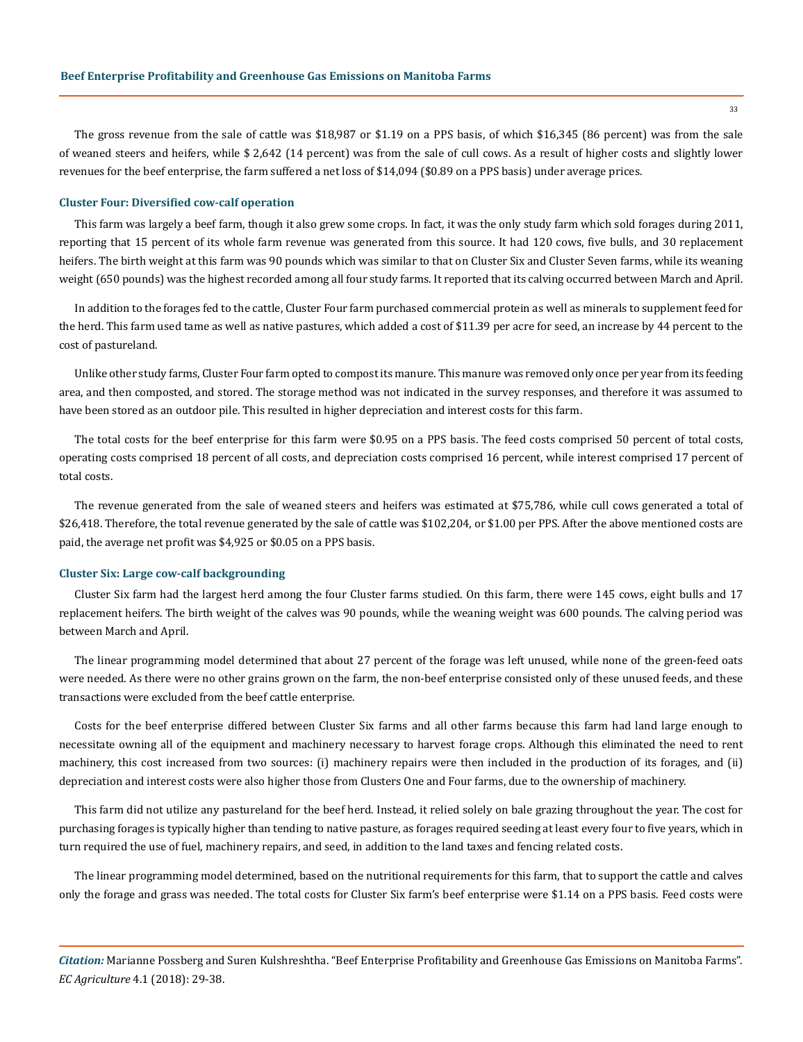The gross revenue from the sale of cattle was \$18,987 or \$1.19 on a PPS basis, of which \$16,345 (86 percent) was from the sale of weaned steers and heifers, while \$ 2,642 (14 percent) was from the sale of cull cows. As a result of higher costs and slightly lower revenues for the beef enterprise, the farm suffered a net loss of \$14,094 (\$0.89 on a PPS basis) under average prices.

#### **Cluster Four: Diversified cow-calf operation**

This farm was largely a beef farm, though it also grew some crops. In fact, it was the only study farm which sold forages during 2011, reporting that 15 percent of its whole farm revenue was generated from this source. It had 120 cows, five bulls, and 30 replacement heifers. The birth weight at this farm was 90 pounds which was similar to that on Cluster Six and Cluster Seven farms, while its weaning weight (650 pounds) was the highest recorded among all four study farms. It reported that its calving occurred between March and April.

In addition to the forages fed to the cattle, Cluster Four farm purchased commercial protein as well as minerals to supplement feed for the herd. This farm used tame as well as native pastures, which added a cost of \$11.39 per acre for seed, an increase by 44 percent to the cost of pastureland.

Unlike other study farms, Cluster Four farm opted to compost its manure. This manure was removed only once per year from its feeding area, and then composted, and stored. The storage method was not indicated in the survey responses, and therefore it was assumed to have been stored as an outdoor pile. This resulted in higher depreciation and interest costs for this farm.

The total costs for the beef enterprise for this farm were \$0.95 on a PPS basis. The feed costs comprised 50 percent of total costs, operating costs comprised 18 percent of all costs, and depreciation costs comprised 16 percent, while interest comprised 17 percent of total costs.

The revenue generated from the sale of weaned steers and heifers was estimated at \$75,786, while cull cows generated a total of \$26,418. Therefore, the total revenue generated by the sale of cattle was \$102,204, or \$1.00 per PPS. After the above mentioned costs are paid, the average net profit was \$4,925 or \$0.05 on a PPS basis.

#### **Cluster Six: Large cow-calf backgrounding**

Cluster Six farm had the largest herd among the four Cluster farms studied. On this farm, there were 145 cows, eight bulls and 17 replacement heifers. The birth weight of the calves was 90 pounds, while the weaning weight was 600 pounds. The calving period was between March and April.

The linear programming model determined that about 27 percent of the forage was left unused, while none of the green-feed oats were needed. As there were no other grains grown on the farm, the non-beef enterprise consisted only of these unused feeds, and these transactions were excluded from the beef cattle enterprise.

Costs for the beef enterprise differed between Cluster Six farms and all other farms because this farm had land large enough to necessitate owning all of the equipment and machinery necessary to harvest forage crops. Although this eliminated the need to rent machinery, this cost increased from two sources: (i) machinery repairs were then included in the production of its forages, and (ii) depreciation and interest costs were also higher those from Clusters One and Four farms, due to the ownership of machinery.

This farm did not utilize any pastureland for the beef herd. Instead, it relied solely on bale grazing throughout the year. The cost for purchasing forages is typically higher than tending to native pasture, as forages required seeding at least every four to five years, which in turn required the use of fuel, machinery repairs, and seed, in addition to the land taxes and fencing related costs.

The linear programming model determined, based on the nutritional requirements for this farm, that to support the cattle and calves only the forage and grass was needed. The total costs for Cluster Six farm's beef enterprise were \$1.14 on a PPS basis. Feed costs were

*Citation:* Marianne Possberg and Suren Kulshreshtha. "Beef Enterprise Profitability and Greenhouse Gas Emissions on Manitoba Farms". *EC Agriculture* 4.1 (2018): 29-38.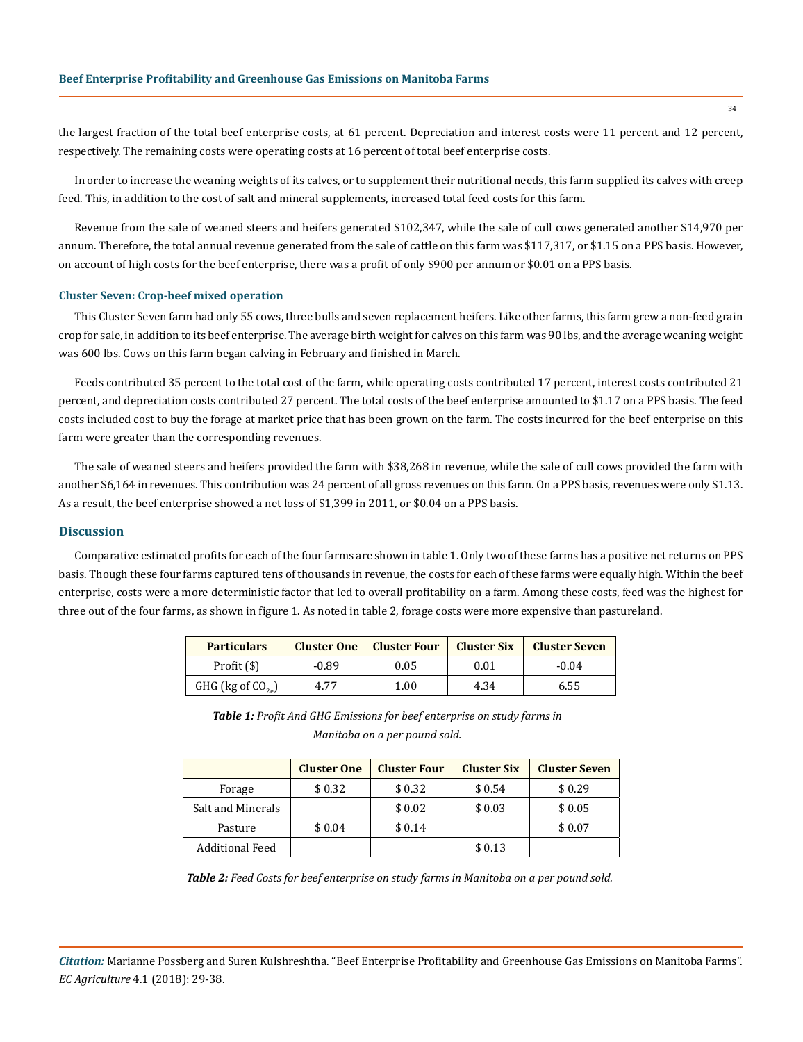the largest fraction of the total beef enterprise costs, at 61 percent. Depreciation and interest costs were 11 percent and 12 percent, respectively. The remaining costs were operating costs at 16 percent of total beef enterprise costs.

In order to increase the weaning weights of its calves, or to supplement their nutritional needs, this farm supplied its calves with creep feed. This, in addition to the cost of salt and mineral supplements, increased total feed costs for this farm.

Revenue from the sale of weaned steers and heifers generated \$102,347, while the sale of cull cows generated another \$14,970 per annum. Therefore, the total annual revenue generated from the sale of cattle on this farm was \$117,317, or \$1.15 on a PPS basis. However, on account of high costs for the beef enterprise, there was a profit of only \$900 per annum or \$0.01 on a PPS basis.

#### **Cluster Seven: Crop-beef mixed operation**

This Cluster Seven farm had only 55 cows, three bulls and seven replacement heifers. Like other farms, this farm grew a non-feed grain crop for sale, in addition to its beef enterprise. The average birth weight for calves on this farm was 90 lbs, and the average weaning weight was 600 lbs. Cows on this farm began calving in February and finished in March.

Feeds contributed 35 percent to the total cost of the farm, while operating costs contributed 17 percent, interest costs contributed 21 percent, and depreciation costs contributed 27 percent. The total costs of the beef enterprise amounted to \$1.17 on a PPS basis. The feed costs included cost to buy the forage at market price that has been grown on the farm. The costs incurred for the beef enterprise on this farm were greater than the corresponding revenues.

The sale of weaned steers and heifers provided the farm with \$38,268 in revenue, while the sale of cull cows provided the farm with another \$6,164 in revenues. This contribution was 24 percent of all gross revenues on this farm. On a PPS basis, revenues were only \$1.13. As a result, the beef enterprise showed a net loss of \$1,399 in 2011, or \$0.04 on a PPS basis.

### **Discussion**

Comparative estimated profits for each of the four farms are shown in table 1. Only two of these farms has a positive net returns on PPS basis. Though these four farms captured tens of thousands in revenue, the costs for each of these farms were equally high. Within the beef enterprise, costs were a more deterministic factor that led to overall profitability on a farm. Among these costs, feed was the highest for three out of the four farms, as shown in figure 1. As noted in table 2, forage costs were more expensive than pastureland.

| <b>Particulars</b>             | <b>Cluster One</b> | <b>Cluster Four</b> | <b>Cluster Six</b> | <b>Cluster Seven</b> |
|--------------------------------|--------------------|---------------------|--------------------|----------------------|
| Profit $(\$)$                  | -0.89              | 0.05                | 0.01               | $-0.04$              |
| GHG ( $\text{kg of CO}_{2e}$ ) | 4.77               | 1.00                | 4.34               | 6.55                 |

*Table 1: Profit And GHG Emissions for beef enterprise on study farms in Manitoba on a per pound sold.*

|                        | <b>Cluster One</b> | <b>Cluster Four</b> | <b>Cluster Six</b> | <b>Cluster Seven</b> |
|------------------------|--------------------|---------------------|--------------------|----------------------|
| Forage                 | \$0.32             | \$0.32              | \$0.54             | \$0.29               |
| Salt and Minerals      |                    | \$0.02              | \$0.03             | \$0.05               |
| Pasture                | \$0.04             | \$0.14              |                    | \$0.07               |
| <b>Additional Feed</b> |                    |                     | \$0.13             |                      |

*Table 2: Feed Costs for beef enterprise on study farms in Manitoba on a per pound sold.*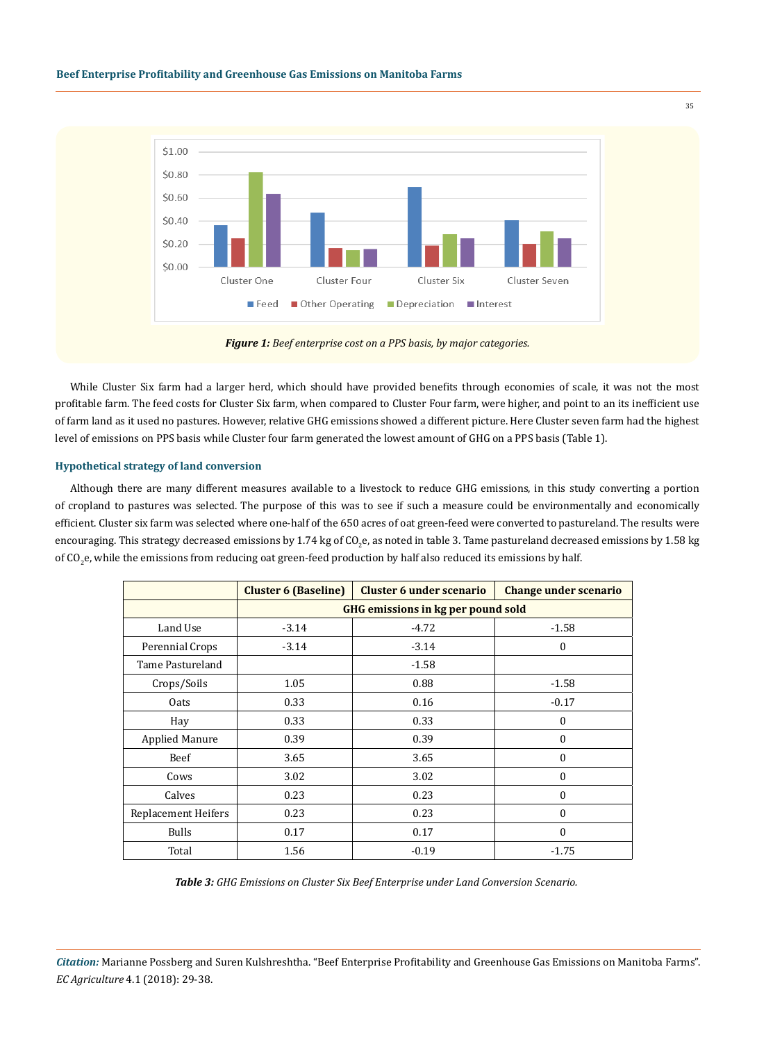

*Figure 1: Beef enterprise cost on a PPS basis, by major categories.*

While Cluster Six farm had a larger herd, which should have provided benefits through economies of scale, it was not the most profitable farm. The feed costs for Cluster Six farm, when compared to Cluster Four farm, were higher, and point to an its inefficient use of farm land as it used no pastures. However, relative GHG emissions showed a different picture. Here Cluster seven farm had the highest level of emissions on PPS basis while Cluster four farm generated the lowest amount of GHG on a PPS basis (Table 1).

## **Hypothetical strategy of land conversion**

Although there are many different measures available to a livestock to reduce GHG emissions, in this study converting a portion of cropland to pastures was selected. The purpose of this was to see if such a measure could be environmentally and economically efficient. Cluster six farm was selected where one-half of the 650 acres of oat green-feed were converted to pastureland. The results were encouraging. This strategy decreased emissions by 1.74 kg of CO<sub>2</sub>e, as noted in table 3. Tame pastureland decreased emissions by 1.58 kg of CO<sub>2</sub>e, while the emissions from reducing oat green-feed production by half also reduced its emissions by half.

|                       | <b>Cluster 6 (Baseline)</b>               | <b>Cluster 6 under scenario</b> | <b>Change under scenario</b> |  |  |
|-----------------------|-------------------------------------------|---------------------------------|------------------------------|--|--|
|                       | <b>GHG emissions in kg per pound sold</b> |                                 |                              |  |  |
| Land Use              | $-3.14$                                   | $-4.72$                         | $-1.58$                      |  |  |
| Perennial Crops       | $-3.14$                                   | $-3.14$                         | $\mathbf{0}$                 |  |  |
| Tame Pastureland      |                                           | $-1.58$                         |                              |  |  |
| Crops/Soils           | 1.05                                      | 0.88                            | $-1.58$                      |  |  |
| Oats                  | 0.33                                      | 0.16                            | $-0.17$                      |  |  |
| Hay                   | 0.33                                      | 0.33                            | $\mathbf{0}$                 |  |  |
| <b>Applied Manure</b> | 0.39                                      | 0.39                            | $\theta$                     |  |  |
| Beef                  | 3.65                                      | 3.65                            | $\mathbf{0}$                 |  |  |
| Cows                  | 3.02                                      | 3.02                            | $\theta$                     |  |  |
| Calves                | 0.23                                      | 0.23                            | $\mathbf{0}$                 |  |  |
| Replacement Heifers   | 0.23                                      | 0.23                            | $\theta$                     |  |  |
| <b>Bulls</b>          | 0.17                                      | 0.17                            | $\mathbf{0}$                 |  |  |
| Total                 | 1.56                                      | $-0.19$                         | $-1.75$                      |  |  |

*Table 3: GHG Emissions on Cluster Six Beef Enterprise under Land Conversion Scenario.*

*Citation:* Marianne Possberg and Suren Kulshreshtha. "Beef Enterprise Profitability and Greenhouse Gas Emissions on Manitoba Farms". *EC Agriculture* 4.1 (2018): 29-38.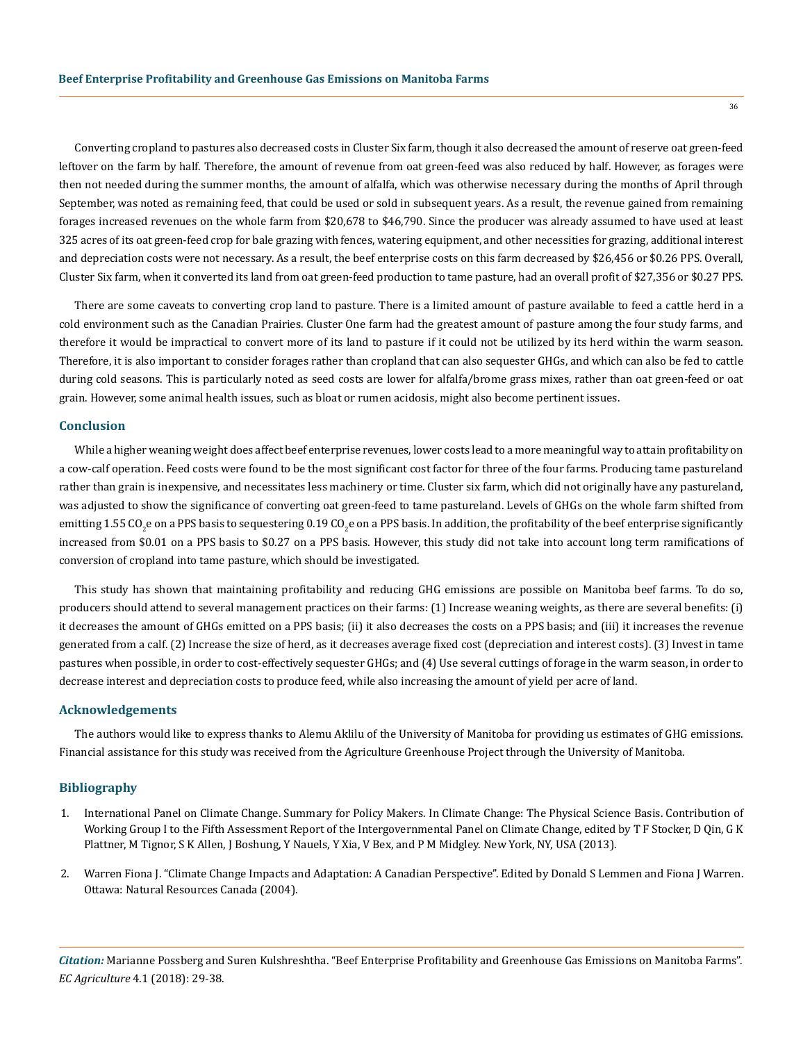Converting cropland to pastures also decreased costs in Cluster Six farm, though it also decreased the amount of reserve oat green-feed leftover on the farm by half. Therefore, the amount of revenue from oat green-feed was also reduced by half. However, as forages were then not needed during the summer months, the amount of alfalfa, which was otherwise necessary during the months of April through September, was noted as remaining feed, that could be used or sold in subsequent years. As a result, the revenue gained from remaining forages increased revenues on the whole farm from \$20,678 to \$46,790. Since the producer was already assumed to have used at least 325 acres of its oat green-feed crop for bale grazing with fences, watering equipment, and other necessities for grazing, additional interest and depreciation costs were not necessary. As a result, the beef enterprise costs on this farm decreased by \$26,456 or \$0.26 PPS. Overall, Cluster Six farm, when it converted its land from oat green-feed production to tame pasture, had an overall profit of \$27,356 or \$0.27 PPS.

There are some caveats to converting crop land to pasture. There is a limited amount of pasture available to feed a cattle herd in a cold environment such as the Canadian Prairies. Cluster One farm had the greatest amount of pasture among the four study farms, and therefore it would be impractical to convert more of its land to pasture if it could not be utilized by its herd within the warm season. Therefore, it is also important to consider forages rather than cropland that can also sequester GHGs, and which can also be fed to cattle during cold seasons. This is particularly noted as seed costs are lower for alfalfa/brome grass mixes, rather than oat green-feed or oat grain. However, some animal health issues, such as bloat or rumen acidosis, might also become pertinent issues.

## **Conclusion**

While a higher weaning weight does affect beef enterprise revenues, lower costs lead to a more meaningful way to attain profitability on a cow-calf operation. Feed costs were found to be the most significant cost factor for three of the four farms. Producing tame pastureland rather than grain is inexpensive, and necessitates less machinery or time. Cluster six farm, which did not originally have any pastureland, was adjusted to show the significance of converting oat green-feed to tame pastureland. Levels of GHGs on the whole farm shifted from emitting 1.55 CO<sub>2</sub>e on a PPS basis to sequestering 0.19 CO<sub>2</sub>e on a PPS basis. In addition, the profitability of the beef enterprise significantly increased from \$0.01 on a PPS basis to \$0.27 on a PPS basis. However, this study did not take into account long term ramifications of conversion of cropland into tame pasture, which should be investigated.

This study has shown that maintaining profitability and reducing GHG emissions are possible on Manitoba beef farms. To do so, producers should attend to several management practices on their farms: (1) Increase weaning weights, as there are several benefits: (i) it decreases the amount of GHGs emitted on a PPS basis; (ii) it also decreases the costs on a PPS basis; and (iii) it increases the revenue generated from a calf. (2) Increase the size of herd, as it decreases average fixed cost (depreciation and interest costs). (3) Invest in tame pastures when possible, in order to cost-effectively sequester GHGs; and (4) Use several cuttings of forage in the warm season, in order to decrease interest and depreciation costs to produce feed, while also increasing the amount of yield per acre of land.

## **Acknowledgements**

The authors would like to express thanks to Alemu Aklilu of the University of Manitoba for providing us estimates of GHG emissions. Financial assistance for this study was received from the Agriculture Greenhouse Project through the University of Manitoba.

## **Bibliography**

- 1. [International Panel on Climate Change. Summary for Policy Makers. In Climate Change: The Physical Science Basis. Contribution of](http://www.climatechange2013.org/images/report/WG1AR5_SPM_FINAL.pdf)  [Working Group I to the Fifth Assessment Report of the Intergovernmental Panel on Climate Change, edited by T F Stocker, D Qin, G K](http://www.climatechange2013.org/images/report/WG1AR5_SPM_FINAL.pdf)  [Plattner, M Tignor, S K Allen, J Boshung, Y Nauels, Y Xia, V Bex, and P M Midgley. New York, NY, USA \(2013\).](http://www.climatechange2013.org/images/report/WG1AR5_SPM_FINAL.pdf)
- 2. [Warren Fiona J. "Climate Change Impacts and Adaptation: A Canadian Perspective". Edited by Donald S Lemmen and Fiona J Warren.](https://cfs.nrcan.gc.ca/publications?id=27428)  [Ottawa: Natural Resources Canada \(2004\).](https://cfs.nrcan.gc.ca/publications?id=27428)

*Citation:* Marianne Possberg and Suren Kulshreshtha. "Beef Enterprise Profitability and Greenhouse Gas Emissions on Manitoba Farms". *EC Agriculture* 4.1 (2018): 29-38.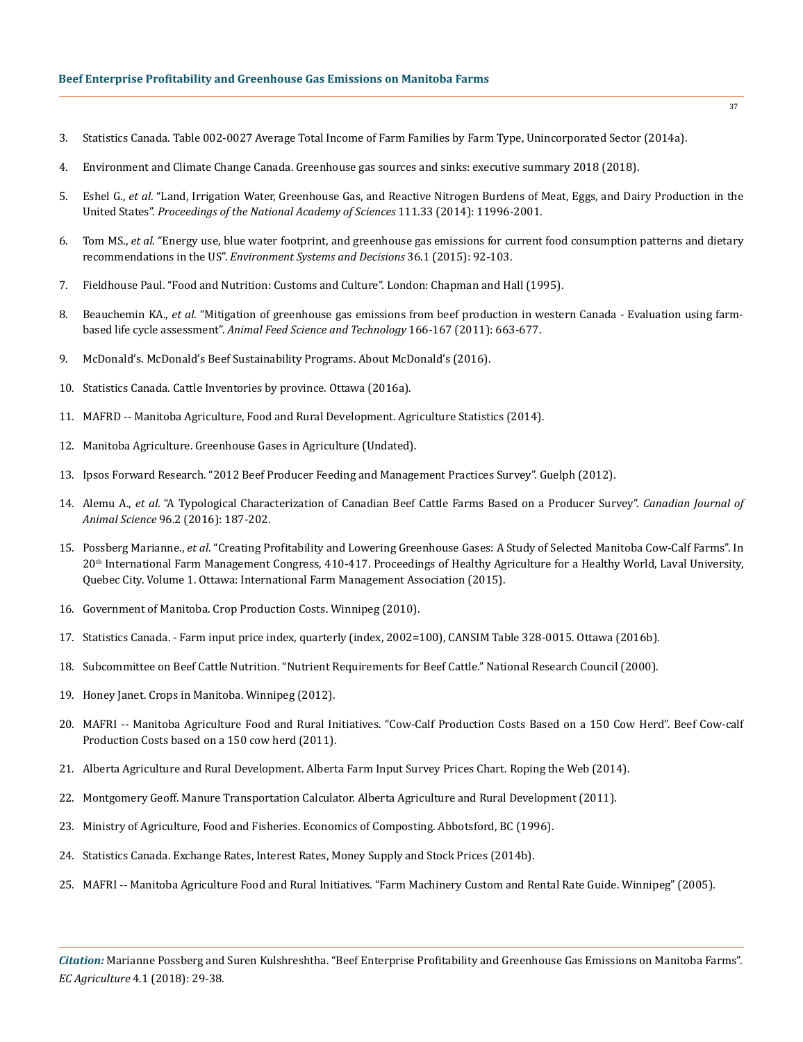- 3. [Statistics Canada. Table 002-0027 Average Total Income of Farm Families by Farm Type, Unincorporated Sector \(2014a\).](https://www150.statcan.gc.ca/n1/en/type/data)
- 4. [Environment and Climate Change Canada. Greenhouse gas sources and sinks: executive summary 2018 \(2018\).](https://www.canada.ca/en/environment-climate-change/services/climate-change/greenhouse-gas-emissions/sources-sinks-executive-summary-2018)
- 5. Eshel G., *et al*[. "Land, Irrigation Water, Greenhouse Gas, and Reactive Nitrogen Burdens of Meat, Eggs, and Dairy Production in the](http://www.pnas.org/content/111/33/11996)  United States". *[Proceedings of the National Academy of Sciences](http://www.pnas.org/content/111/33/11996)* 111.33 (2014): 11996-2001.
- 6. Tom MS., *et al*[. "Energy use, blue water footprint, and greenhouse gas emissions for current food consumption patterns and dietary](https://link.springer.com/article/10.1007/s10669-015-9577-y) recommendations in the US". *[Environment Systems and Decisions](https://link.springer.com/article/10.1007/s10669-015-9577-y)* 36.1 (2015): 92-103.
- 7. Fieldhouse Paul. "Food and Nutrition: Customs and Culture". London: Chapman and Hall (1995).
- 8. Beauchemin KA., *et al*[. "Mitigation of greenhouse gas emissions from beef production in western Canada Evaluation using farm](https://www.sciencedirect.com/science/article/pii/S0377840111001660)based life cycle assessment". *[Animal Feed Science and Technology](https://www.sciencedirect.com/science/article/pii/S0377840111001660)* 166-167 (2011): 663-677.
- 9. [McDonald's. McDonald's Beef Sustainability Programs. About McDonald's \(2016\).](http://www.aboutmcdonalds.com/mcd/sustainability/signature_programs/beef-sustainability.html)
- 10. [Statistics Canada. Cattle Inventories by province. Ottawa \(2016a\).](http://www.statcan.gc.ca/tables-tableaux/sum-som/l01/cst01/prim50a-eng.htm)
- 11. [MAFRD -- Manitoba Agriculture, Food and Rural Development. Agriculture Statistics \(2014\).](https://www.gov.mb.ca/agriculture/markets-and-statistics/index.html)
- 12. [Manitoba Agriculture. Greenhouse Gases in Agriculture \(Undated\).](http://www.gov.mb.ca/agriculture/environment/soil-management/soil-management-guide/greenhouse-gases-in-agriculture.html)
- 13. [Ipsos Forward Research. "2012 Beef Producer Feeding and Management Practices Survey". Guelph \(2012\).](http://nscattle.ca/2012/03/canadian-beef-producer-feeding-and-management-practices-survey/)
- 14. Alemu A., *et al*. "A Typological Characterization of Canadian Beef Cattle Farms Based on a Producer Survey". *Canadian Journal of Animal Science* 96.2 (2016): 187-202.
- 15. Possberg Marianne., *et al*[. "Creating Profitability and Lowering Greenhouse Gases: A Study of Selected Manitoba Cow-Calf Farms". In](http://ifmaonline.org/wp-content/uploads/2016/01/15_Possberg_etal_P410-417.pdf)  20th [International Farm Management Congress, 410-417. Proceedings of Healthy Agriculture for a Healthy World, Laval University,](http://ifmaonline.org/wp-content/uploads/2016/01/15_Possberg_etal_P410-417.pdf)  [Quebec City. Volume 1. Ottawa: International Farm Management Association \(2015\).](http://ifmaonline.org/wp-content/uploads/2016/01/15_Possberg_etal_P410-417.pdf)
- 16. [Government of Manitoba. Crop Production Costs. Winnipeg \(2010\).](https://www.gov.mb.ca/agriculture/farm-management/production-economics/pubs/cop-crop-production.pdf)
- 17. Statistics Canada. Farm input price index, quarterly (index, 2002=100), CANSIM Table 328-0015. Ottawa (2016b).
- 18. [Subcommittee on Beef Cattle Nutrition. "Nutrient Requirements for Beef Cattle." National Research Council \(2000\).](http://www.vet.unicen.edu.ar/html/Areas/Prod_Animal/Documentos/2013/Alvarado/Sistema%20de%20Alimentacion/9791%5B1%5D%20NRC%20beef%20cattle.pdf)
- 19. [Honey Janet. Crops in Manitoba. Winnipeg \(2012\).](https://umanitoba.ca/faculties/afs/dept/agribusiness/media/pdf/Crops_in_Manitoba_2012.pdf)
- 20. [MAFRI -- Manitoba Agriculture Food and Rural Initiatives. "Cow-Calf Production Costs Based on a 150 Cow Herd". Beef Cow-calf](https://www.gov.mb.ca/agriculture/business-and-economics/financial-management/machinery-costs.html) [Production Costs based on a 150 cow herd \(2011\).](https://www.gov.mb.ca/agriculture/business-and-economics/financial-management/machinery-costs.html)
- 21. [Alberta Agriculture and Rural Development. Alberta Farm Input Survey Prices Chart. Roping the Web \(2014\).](http://www.agric.gov.ab.ca/app21/rtw/surveyprices/graph.jsp?groupId=4anddataId=35)
- 22. [Montgomery Geoff. Manure Transportation Calculator. Alberta Agriculture and Rural Development \(2011\).](http://www1.agric.gov.ab.ca/$department/softdown.nsf/main!OpenFormandtype=MTCandpage=setupandtxtJS=4214228975837781723)
- 23. [Ministry of Agriculture, Food and Fisheries. Economics of Composting. Abbotsford, BC \(1996\).](http://www.agf.gov.bc.ca/resmgmt/publist/300Series/382500-14.pdf)
- 24. [Statistics Canada. Exchange Rates, Interest Rates, Money Supply and Stock Prices \(2014b\).](http://www.statcan.gc.ca/tables-tableaux/sum-som/l01/cst01/econ07-eng.htm)
- 25. MAFRI -- Manitoba Agriculture Food and Rural Initiatives. "Farm Machinery Custom and Rental Rate Guide. Winnipeg" (2005).